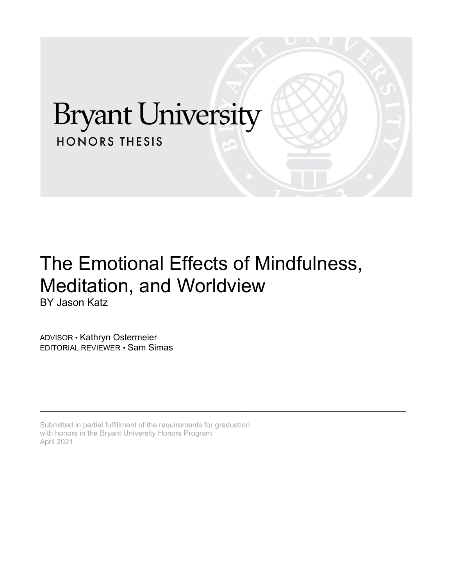# **Bryant University HONORS THESIS**

# The Emotional Effects of Mindfulness, Meditation, and Worldview BY Jason Katz

\_\_\_\_\_\_\_\_\_\_\_\_\_\_\_\_\_\_\_\_\_\_\_\_\_\_\_\_\_\_\_\_\_\_\_\_\_\_\_\_\_\_\_\_\_\_\_\_\_\_\_\_\_\_\_\_\_\_\_\_\_\_\_\_\_\_\_\_\_\_\_\_\_\_\_\_\_\_\_\_\_\_\_\_\_\_\_\_\_

ADVISOR • Kathryn Ostermeier EDITORIAL REVIEWER • Sam Simas

Submitted in partial fulfillment of the requirements for graduation with honors in the Bryant University Honors Program April 2021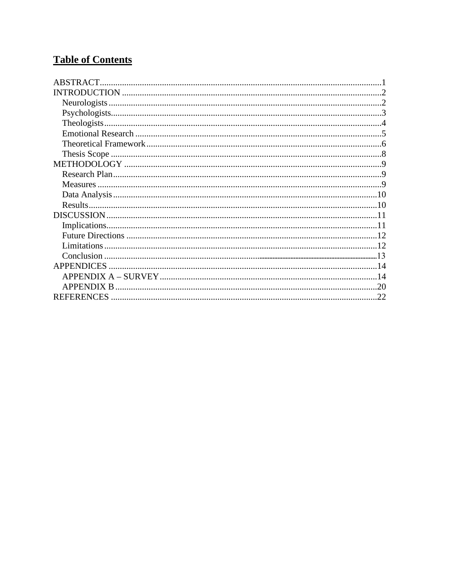# **Table of Contents**

| ABSTRACT.         |     |
|-------------------|-----|
|                   |     |
|                   |     |
|                   |     |
|                   |     |
|                   |     |
|                   |     |
|                   |     |
|                   |     |
|                   |     |
|                   |     |
|                   |     |
|                   |     |
|                   |     |
|                   |     |
|                   |     |
|                   |     |
|                   |     |
| <b>APPENDICES</b> |     |
|                   |     |
|                   |     |
|                   | .22 |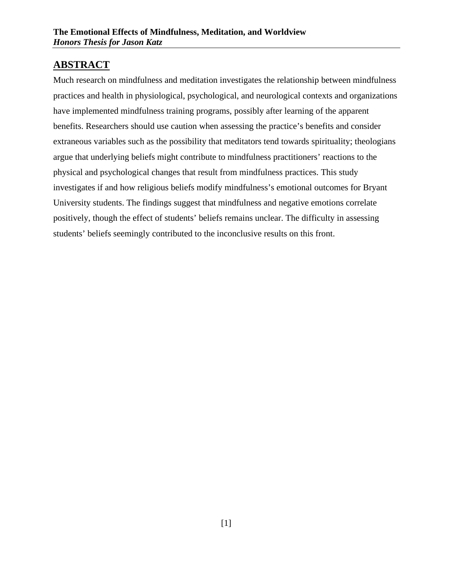# <span id="page-2-0"></span>**ABSTRACT**

Much research on mindfulness and meditation investigates the relationship between mindfulness practices and health in physiological, psychological, and neurological contexts and organizations have implemented mindfulness training programs, possibly after learning of the apparent benefits. Researchers should use caution when assessing the practice's benefits and consider extraneous variables such as the possibility that meditators tend towards spirituality; theologians argue that underlying beliefs might contribute to mindfulness practitioners' reactions to the physical and psychological changes that result from mindfulness practices. This study investigates if and how religious beliefs modify mindfulness's emotional outcomes for Bryant University students. The findings suggest that mindfulness and negative emotions correlate positively, though the effect of students' beliefs remains unclear. The difficulty in assessing students' beliefs seemingly contributed to the inconclusive results on this front.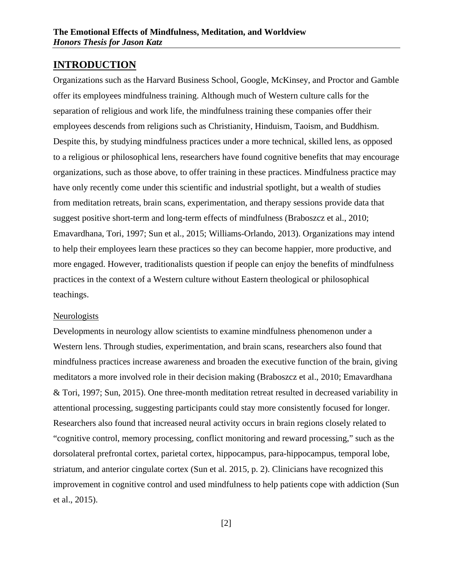### <span id="page-3-0"></span>**INTRODUCTION**

Organizations such as the Harvard Business School, Google, McKinsey, and Proctor and Gamble offer its employees mindfulness training. Although much of Western culture calls for the separation of religious and work life, the mindfulness training these companies offer their employees descends from religions such as Christianity, Hinduism, Taoism, and Buddhism. Despite this, by studying mindfulness practices under a more technical, skilled lens, as opposed to a religious or philosophical lens, researchers have found cognitive benefits that may encourage organizations, such as those above, to offer training in these practices. Mindfulness practice may have only recently come under this scientific and industrial spotlight, but a wealth of studies from meditation retreats, brain scans, experimentation, and therapy sessions provide data that suggest positive short-term and long-term effects of mindfulness (Braboszcz et al., 2010; Emavardhana, Tori, 1997; Sun et al., 2015; Williams-Orlando, 2013). Organizations may intend to help their employees learn these practices so they can become happier, more productive, and more engaged. However, traditionalists question if people can enjoy the benefits of mindfulness practices in the context of a Western culture without Eastern theological or philosophical teachings.

#### <span id="page-3-1"></span>Neurologists

Developments in neurology allow scientists to examine mindfulness phenomenon under a Western lens. Through studies, experimentation, and brain scans, researchers also found that mindfulness practices increase awareness and broaden the executive function of the brain, giving meditators a more involved role in their decision making (Braboszcz et al., 2010; Emavardhana & Tori, 1997; Sun, 2015). One three-month meditation retreat resulted in decreased variability in attentional processing, suggesting participants could stay more consistently focused for longer. Researchers also found that increased neural activity occurs in brain regions closely related to "cognitive control, memory processing, conflict monitoring and reward processing," such as the dorsolateral prefrontal cortex, parietal cortex, hippocampus, para-hippocampus, temporal lobe, striatum, and anterior cingulate cortex (Sun et al. 2015, p. 2). Clinicians have recognized this improvement in cognitive control and used mindfulness to help patients cope with addiction (Sun et al., 2015).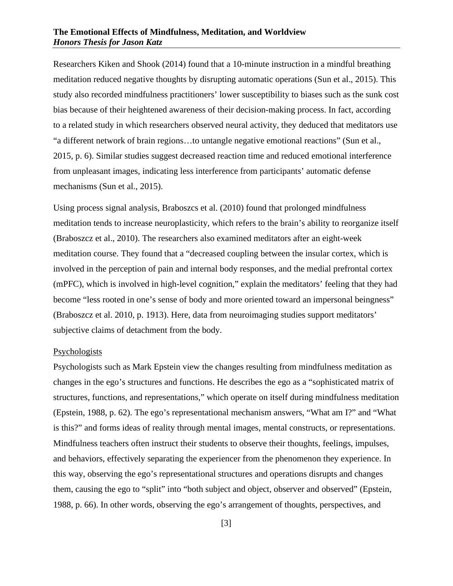#### **The Emotional Effects of Mindfulness, Meditation, and Worldview** *Honors Thesis for Jason Katz*

Researchers Kiken and Shook (2014) found that a 10-minute instruction in a mindful breathing meditation reduced negative thoughts by disrupting automatic operations (Sun et al., 2015). This study also recorded mindfulness practitioners' lower susceptibility to biases such as the sunk cost bias because of their heightened awareness of their decision-making process. In fact, according to a related study in which researchers observed neural activity, they deduced that meditators use "a different network of brain regions…to untangle negative emotional reactions" (Sun et al., 2015, p. 6). Similar studies suggest decreased reaction time and reduced emotional interference from unpleasant images, indicating less interference from participants' automatic defense mechanisms (Sun et al., 2015).

Using process signal analysis, Braboszcs et al. (2010) found that prolonged mindfulness meditation tends to increase neuroplasticity, which refers to the brain's ability to reorganize itself (Braboszcz et al., 2010). The researchers also examined meditators after an eight-week meditation course. They found that a "decreased coupling between the insular cortex, which is involved in the perception of pain and internal body responses, and the medial prefrontal cortex (mPFC), which is involved in high-level cognition," explain the meditators' feeling that they had become "less rooted in one's sense of body and more oriented toward an impersonal beingness" (Braboszcz et al. 2010, p. 1913). Here, data from neuroimaging studies support meditators' subjective claims of detachment from the body.

#### <span id="page-4-0"></span>Psychologists

Psychologists such as Mark Epstein view the changes resulting from mindfulness meditation as changes in the ego's structures and functions. He describes the ego as a "sophisticated matrix of structures, functions, and representations," which operate on itself during mindfulness meditation (Epstein, 1988, p. 62). The ego's representational mechanism answers, "What am I?" and "What is this?" and forms ideas of reality through mental images, mental constructs, or representations. Mindfulness teachers often instruct their students to observe their thoughts, feelings, impulses, and behaviors, effectively separating the experiencer from the phenomenon they experience. In this way, observing the ego's representational structures and operations disrupts and changes them, causing the ego to "split" into "both subject and object, observer and observed" (Epstein, 1988, p. 66). In other words, observing the ego's arrangement of thoughts, perspectives, and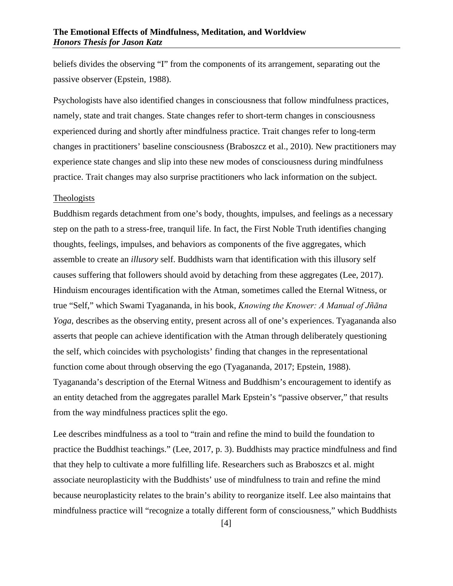beliefs divides the observing "I" from the components of its arrangement, separating out the passive observer (Epstein, 1988).

Psychologists have also identified changes in consciousness that follow mindfulness practices, namely, state and trait changes. State changes refer to short-term changes in consciousness experienced during and shortly after mindfulness practice. Trait changes refer to long-term changes in practitioners' baseline consciousness (Braboszcz et al., 2010). New practitioners may experience state changes and slip into these new modes of consciousness during mindfulness practice. Trait changes may also surprise practitioners who lack information on the subject.

#### <span id="page-5-0"></span>Theologists

Buddhism regards detachment from one's body, thoughts, impulses, and feelings as a necessary step on the path to a stress-free, tranquil life. In fact, the First Noble Truth identifies changing thoughts, feelings, impulses, and behaviors as components of the five aggregates, which assemble to create an *illusory* self. Buddhists warn that identification with this illusory self causes suffering that followers should avoid by detaching from these aggregates (Lee, 2017). Hinduism encourages identification with the Atman, sometimes called the Eternal Witness, or true "Self," which Swami Tyagananda, in his book, *Knowing the Knower: A Manual of Jñāna Yoga*, describes as the observing entity, present across all of one's experiences. Tyagananda also asserts that people can achieve identification with the Atman through deliberately questioning the self, which coincides with psychologists' finding that changes in the representational function come about through observing the ego (Tyagananda, 2017; Epstein, 1988). Tyagananda's description of the Eternal Witness and Buddhism's encouragement to identify as an entity detached from the aggregates parallel Mark Epstein's "passive observer," that results from the way mindfulness practices split the ego.

Lee describes mindfulness as a tool to "train and refine the mind to build the foundation to practice the Buddhist teachings." (Lee, 2017, p. 3). Buddhists may practice mindfulness and find that they help to cultivate a more fulfilling life. Researchers such as Braboszcs et al. might associate neuroplasticity with the Buddhists' use of mindfulness to train and refine the mind because neuroplasticity relates to the brain's ability to reorganize itself. Lee also maintains that mindfulness practice will "recognize a totally different form of consciousness," which Buddhists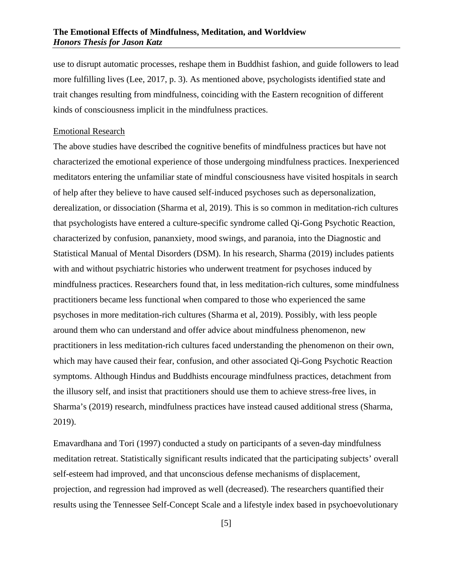#### **The Emotional Effects of Mindfulness, Meditation, and Worldview** *Honors Thesis for Jason Katz*

use to disrupt automatic processes, reshape them in Buddhist fashion, and guide followers to lead more fulfilling lives (Lee, 2017, p. 3). As mentioned above, psychologists identified state and trait changes resulting from mindfulness, coinciding with the Eastern recognition of different kinds of consciousness implicit in the mindfulness practices.

#### <span id="page-6-0"></span>Emotional Research

The above studies have described the cognitive benefits of mindfulness practices but have not characterized the emotional experience of those undergoing mindfulness practices. Inexperienced meditators entering the unfamiliar state of mindful consciousness have visited hospitals in search of help after they believe to have caused self-induced psychoses such as depersonalization, derealization, or dissociation (Sharma et al, 2019). This is so common in meditation-rich cultures that psychologists have entered a culture-specific syndrome called Qi-Gong Psychotic Reaction, characterized by confusion, pananxiety, mood swings, and paranoia, into the Diagnostic and Statistical Manual of Mental Disorders (DSM). In his research, Sharma (2019) includes patients with and without psychiatric histories who underwent treatment for psychoses induced by mindfulness practices. Researchers found that, in less meditation-rich cultures, some mindfulness practitioners became less functional when compared to those who experienced the same psychoses in more meditation-rich cultures (Sharma et al, 2019). Possibly, with less people around them who can understand and offer advice about mindfulness phenomenon, new practitioners in less meditation-rich cultures faced understanding the phenomenon on their own, which may have caused their fear, confusion, and other associated Qi-Gong Psychotic Reaction symptoms. Although Hindus and Buddhists encourage mindfulness practices, detachment from the illusory self, and insist that practitioners should use them to achieve stress-free lives, in Sharma's (2019) research, mindfulness practices have instead caused additional stress (Sharma, 2019).

Emavardhana and Tori (1997) conducted a study on participants of a seven-day mindfulness meditation retreat. Statistically significant results indicated that the participating subjects' overall self-esteem had improved, and that unconscious defense mechanisms of displacement, projection, and regression had improved as well (decreased). The researchers quantified their results using the Tennessee Self-Concept Scale and a lifestyle index based in psychoevolutionary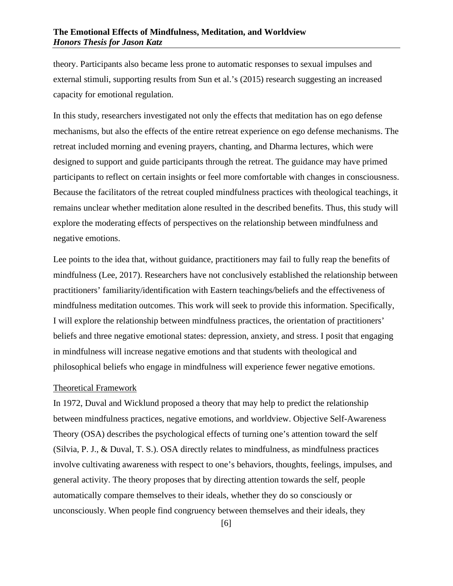theory. Participants also became less prone to automatic responses to sexual impulses and external stimuli, supporting results from Sun et al.'s (2015) research suggesting an increased capacity for emotional regulation.

In this study, researchers investigated not only the effects that meditation has on ego defense mechanisms, but also the effects of the entire retreat experience on ego defense mechanisms. The retreat included morning and evening prayers, chanting, and Dharma lectures, which were designed to support and guide participants through the retreat. The guidance may have primed participants to reflect on certain insights or feel more comfortable with changes in consciousness. Because the facilitators of the retreat coupled mindfulness practices with theological teachings, it remains unclear whether meditation alone resulted in the described benefits. Thus, this study will explore the moderating effects of perspectives on the relationship between mindfulness and negative emotions.

Lee points to the idea that, without guidance, practitioners may fail to fully reap the benefits of mindfulness (Lee, 2017). Researchers have not conclusively established the relationship between practitioners' familiarity/identification with Eastern teachings/beliefs and the effectiveness of mindfulness meditation outcomes. This work will seek to provide this information. Specifically, I will explore the relationship between mindfulness practices, the orientation of practitioners' beliefs and three negative emotional states: depression, anxiety, and stress. I posit that engaging in mindfulness will increase negative emotions and that students with theological and philosophical beliefs who engage in mindfulness will experience fewer negative emotions.

#### <span id="page-7-0"></span>Theoretical Framework

In 1972, Duval and Wicklund proposed a theory that may help to predict the relationship between mindfulness practices, negative emotions, and worldview. Objective Self-Awareness Theory (OSA) describes the psychological effects of turning one's attention toward the self (Silvia, P. J., & Duval, T. S.). OSA directly relates to mindfulness, as mindfulness practices involve cultivating awareness with respect to one's behaviors, thoughts, feelings, impulses, and general activity. The theory proposes that by directing attention towards the self, people automatically compare themselves to their ideals, whether they do so consciously or unconsciously. When people find congruency between themselves and their ideals, they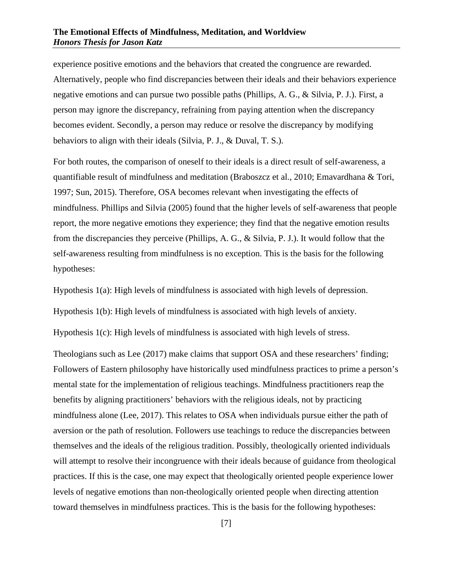experience positive emotions and the behaviors that created the congruence are rewarded. Alternatively, people who find discrepancies between their ideals and their behaviors experience negative emotions and can pursue two possible paths (Phillips, A. G., & Silvia, P. J.). First, a person may ignore the discrepancy, refraining from paying attention when the discrepancy becomes evident. Secondly, a person may reduce or resolve the discrepancy by modifying behaviors to align with their ideals (Silvia, P. J., & Duval, T. S.).

For both routes, the comparison of oneself to their ideals is a direct result of self-awareness, a quantifiable result of mindfulness and meditation (Braboszcz et al., 2010; Emavardhana & Tori, 1997; Sun, 2015). Therefore, OSA becomes relevant when investigating the effects of mindfulness. Phillips and Silvia (2005) found that the higher levels of self-awareness that people report, the more negative emotions they experience; they find that the negative emotion results from the discrepancies they perceive (Phillips, A. G., & Silvia, P. J.). It would follow that the self-awareness resulting from mindfulness is no exception. This is the basis for the following hypotheses:

Hypothesis 1(a): High levels of mindfulness is associated with high levels of depression.

Hypothesis 1(b): High levels of mindfulness is associated with high levels of anxiety.

Hypothesis 1(c): High levels of mindfulness is associated with high levels of stress.

Theologians such as Lee (2017) make claims that support OSA and these researchers' finding; Followers of Eastern philosophy have historically used mindfulness practices to prime a person's mental state for the implementation of religious teachings. Mindfulness practitioners reap the benefits by aligning practitioners' behaviors with the religious ideals, not by practicing mindfulness alone (Lee, 2017). This relates to OSA when individuals pursue either the path of aversion or the path of resolution. Followers use teachings to reduce the discrepancies between themselves and the ideals of the religious tradition. Possibly, theologically oriented individuals will attempt to resolve their incongruence with their ideals because of guidance from theological practices. If this is the case, one may expect that theologically oriented people experience lower levels of negative emotions than non-theologically oriented people when directing attention toward themselves in mindfulness practices. This is the basis for the following hypotheses: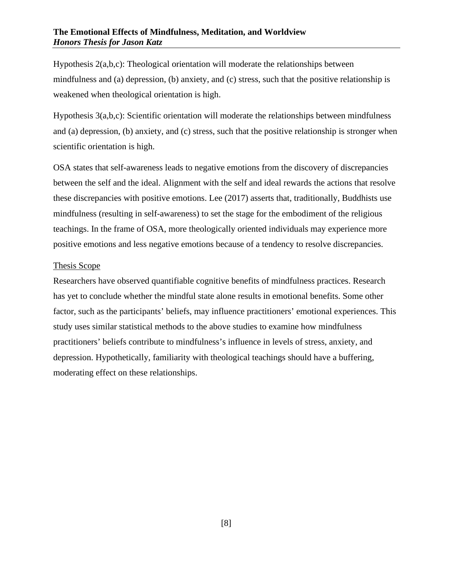#### **The Emotional Effects of Mindfulness, Meditation, and Worldview** *Honors Thesis for Jason Katz*

Hypothesis 2(a,b,c): Theological orientation will moderate the relationships between mindfulness and (a) depression, (b) anxiety, and (c) stress, such that the positive relationship is weakened when theological orientation is high.

Hypothesis 3(a,b,c): Scientific orientation will moderate the relationships between mindfulness and (a) depression, (b) anxiety, and (c) stress, such that the positive relationship is stronger when scientific orientation is high.

OSA states that self-awareness leads to negative emotions from the discovery of discrepancies between the self and the ideal. Alignment with the self and ideal rewards the actions that resolve these discrepancies with positive emotions. Lee (2017) asserts that, traditionally, Buddhists use mindfulness (resulting in self-awareness) to set the stage for the embodiment of the religious teachings. In the frame of OSA, more theologically oriented individuals may experience more positive emotions and less negative emotions because of a tendency to resolve discrepancies.

#### <span id="page-9-0"></span>Thesis Scope

Researchers have observed quantifiable cognitive benefits of mindfulness practices. Research has yet to conclude whether the mindful state alone results in emotional benefits. Some other factor, such as the participants' beliefs, may influence practitioners' emotional experiences. This study uses similar statistical methods to the above studies to examine how mindfulness practitioners' beliefs contribute to mindfulness's influence in levels of stress, anxiety, and depression. Hypothetically, familiarity with theological teachings should have a buffering, moderating effect on these relationships.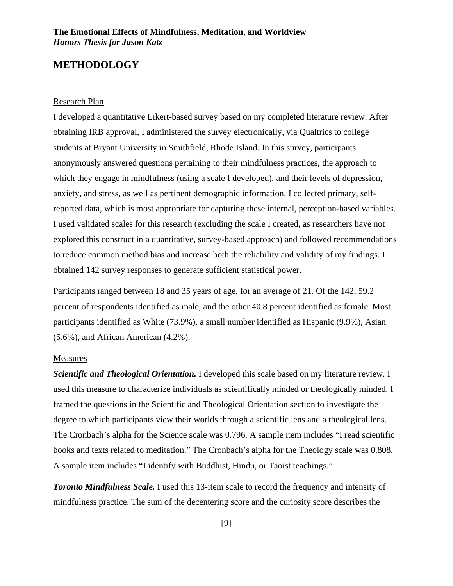## <span id="page-10-0"></span>**METHODOLOGY**

#### <span id="page-10-1"></span>Research Plan

I developed a quantitative Likert-based survey based on my completed literature review. After obtaining IRB approval, I administered the survey electronically, via Qualtrics to college students at Bryant University in Smithfield, Rhode Island. In this survey, participants anonymously answered questions pertaining to their mindfulness practices, the approach to which they engage in mindfulness (using a scale I developed), and their levels of depression, anxiety, and stress, as well as pertinent demographic information. I collected primary, selfreported data, which is most appropriate for capturing these internal, perception-based variables. I used validated scales for this research (excluding the scale I created, as researchers have not explored this construct in a quantitative, survey-based approach) and followed recommendations to reduce common method bias and increase both the reliability and validity of my findings. I obtained 142 survey responses to generate sufficient statistical power.

Participants ranged between 18 and 35 years of age, for an average of 21. Of the 142, 59.2 percent of respondents identified as male, and the other 40.8 percent identified as female. Most participants identified as White (73.9%), a small number identified as Hispanic (9.9%), Asian (5.6%), and African American (4.2%).

#### <span id="page-10-2"></span>Measures

*Scientific and Theological Orientation.* I developed this scale based on my literature review. I used this measure to characterize individuals as scientifically minded or theologically minded. I framed the questions in the Scientific and Theological Orientation section to investigate the degree to which participants view their worlds through a scientific lens and a theological lens. The Cronbach's alpha for the Science scale was 0.796. A sample item includes "I read scientific books and texts related to meditation." The Cronbach's alpha for the Theology scale was 0.808. A sample item includes "I identify with Buddhist, Hindu, or Taoist teachings."

*Toronto Mindfulness Scale.* I used this 13-item scale to record the frequency and intensity of mindfulness practice. The sum of the decentering score and the curiosity score describes the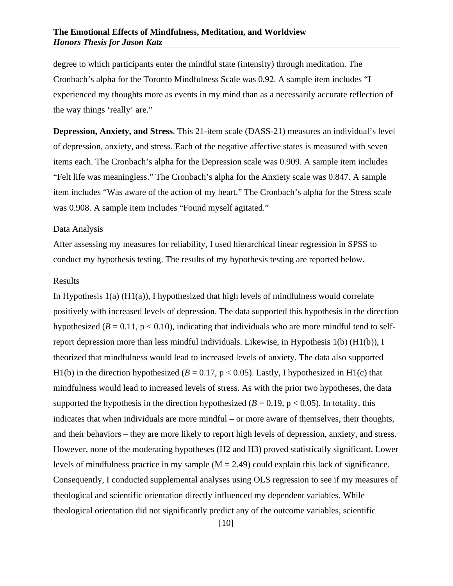degree to which participants enter the mindful state (intensity) through meditation. The Cronbach's alpha for the Toronto Mindfulness Scale was 0.92. A sample item includes "I experienced my thoughts more as events in my mind than as a necessarily accurate reflection of the way things 'really' are."

**Depression, Anxiety, and Stress**. This 21-item scale (DASS-21) measures an individual's level of depression, anxiety, and stress. Each of the negative affective states is measured with seven items each. The Cronbach's alpha for the Depression scale was 0.909. A sample item includes "Felt life was meaningless." The Cronbach's alpha for the Anxiety scale was 0.847. A sample item includes "Was aware of the action of my heart." The Cronbach's alpha for the Stress scale was 0.908. A sample item includes "Found myself agitated."

#### <span id="page-11-0"></span>Data Analysis

After assessing my measures for reliability, I used hierarchical linear regression in SPSS to conduct my hypothesis testing. The results of my hypothesis testing are reported below.

#### <span id="page-11-1"></span>Results

In Hypothesis  $1(a)$  (H $1(a)$ ), I hypothesized that high levels of mindfulness would correlate positively with increased levels of depression. The data supported this hypothesis in the direction hypothesized ( $B = 0.11$ ,  $p < 0.10$ ), indicating that individuals who are more mindful tend to selfreport depression more than less mindful individuals. Likewise, in Hypothesis 1(b) (H1(b)), I theorized that mindfulness would lead to increased levels of anxiety. The data also supported H1(b) in the direction hypothesized ( $B = 0.17$ ,  $p < 0.05$ ). Lastly, I hypothesized in H1(c) that mindfulness would lead to increased levels of stress. As with the prior two hypotheses, the data supported the hypothesis in the direction hypothesized ( $B = 0.19$ ,  $p < 0.05$ ). In totality, this indicates that when individuals are more mindful – or more aware of themselves, their thoughts, and their behaviors – they are more likely to report high levels of depression, anxiety, and stress. However, none of the moderating hypotheses (H2 and H3) proved statistically significant. Lower levels of mindfulness practice in my sample  $(M = 2.49)$  could explain this lack of significance. Consequently, I conducted supplemental analyses using OLS regression to see if my measures of theological and scientific orientation directly influenced my dependent variables. While theological orientation did not significantly predict any of the outcome variables, scientific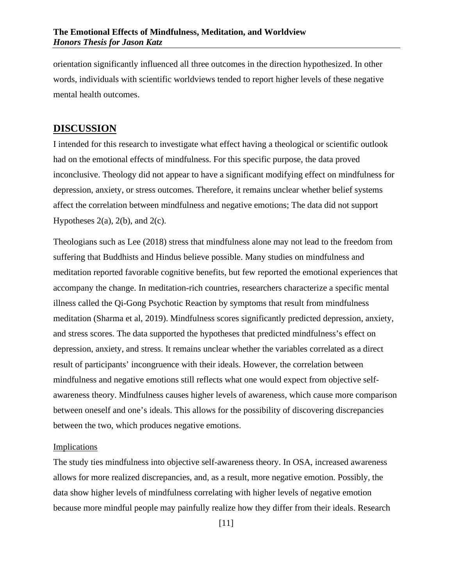orientation significantly influenced all three outcomes in the direction hypothesized. In other words, individuals with scientific worldviews tended to report higher levels of these negative mental health outcomes.

#### <span id="page-12-0"></span>**DISCUSSION**

I intended for this research to investigate what effect having a theological or scientific outlook had on the emotional effects of mindfulness. For this specific purpose, the data proved inconclusive. Theology did not appear to have a significant modifying effect on mindfulness for depression, anxiety, or stress outcomes. Therefore, it remains unclear whether belief systems affect the correlation between mindfulness and negative emotions; The data did not support Hypotheses  $2(a)$ ,  $2(b)$ , and  $2(c)$ .

Theologians such as Lee (2018) stress that mindfulness alone may not lead to the freedom from suffering that Buddhists and Hindus believe possible. Many studies on mindfulness and meditation reported favorable cognitive benefits, but few reported the emotional experiences that accompany the change. In meditation-rich countries, researchers characterize a specific mental illness called the Qi-Gong Psychotic Reaction by symptoms that result from mindfulness meditation (Sharma et al, 2019). Mindfulness scores significantly predicted depression, anxiety, and stress scores. The data supported the hypotheses that predicted mindfulness's effect on depression, anxiety, and stress. It remains unclear whether the variables correlated as a direct result of participants' incongruence with their ideals. However, the correlation between mindfulness and negative emotions still reflects what one would expect from objective selfawareness theory. Mindfulness causes higher levels of awareness, which cause more comparison between oneself and one's ideals. This allows for the possibility of discovering discrepancies between the two, which produces negative emotions.

#### <span id="page-12-1"></span>Implications

The study ties mindfulness into objective self-awareness theory. In OSA, increased awareness allows for more realized discrepancies, and, as a result, more negative emotion. Possibly, the data show higher levels of mindfulness correlating with higher levels of negative emotion because more mindful people may painfully realize how they differ from their ideals. Research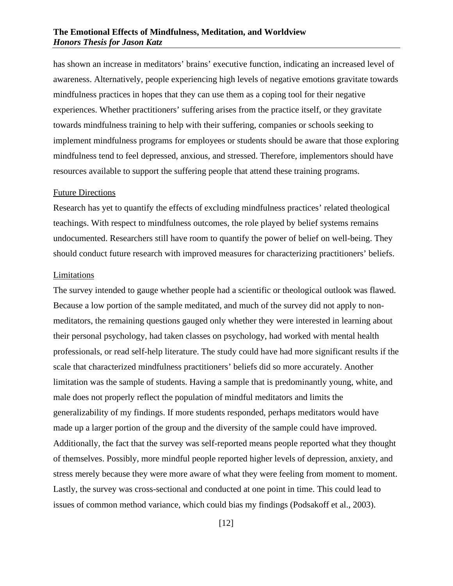#### **The Emotional Effects of Mindfulness, Meditation, and Worldview** *Honors Thesis for Jason Katz*

has shown an increase in meditators' brains' executive function, indicating an increased level of awareness. Alternatively, people experiencing high levels of negative emotions gravitate towards mindfulness practices in hopes that they can use them as a coping tool for their negative experiences. Whether practitioners' suffering arises from the practice itself, or they gravitate towards mindfulness training to help with their suffering, companies or schools seeking to implement mindfulness programs for employees or students should be aware that those exploring mindfulness tend to feel depressed, anxious, and stressed. Therefore, implementors should have resources available to support the suffering people that attend these training programs.

#### <span id="page-13-0"></span>Future Directions

Research has yet to quantify the effects of excluding mindfulness practices' related theological teachings. With respect to mindfulness outcomes, the role played by belief systems remains undocumented. Researchers still have room to quantify the power of belief on well-being. They should conduct future research with improved measures for characterizing practitioners' beliefs.

#### <span id="page-13-1"></span>Limitations

The survey intended to gauge whether people had a scientific or theological outlook was flawed. Because a low portion of the sample meditated, and much of the survey did not apply to nonmeditators, the remaining questions gauged only whether they were interested in learning about their personal psychology, had taken classes on psychology, had worked with mental health professionals, or read self-help literature. The study could have had more significant results if the scale that characterized mindfulness practitioners' beliefs did so more accurately. Another limitation was the sample of students. Having a sample that is predominantly young, white, and male does not properly reflect the population of mindful meditators and limits the generalizability of my findings. If more students responded, perhaps meditators would have made up a larger portion of the group and the diversity of the sample could have improved. Additionally, the fact that the survey was self-reported means people reported what they thought of themselves. Possibly, more mindful people reported higher levels of depression, anxiety, and stress merely because they were more aware of what they were feeling from moment to moment. Lastly, the survey was cross-sectional and conducted at one point in time. This could lead to issues of common method variance, which could bias my findings (Podsakoff et al., 2003).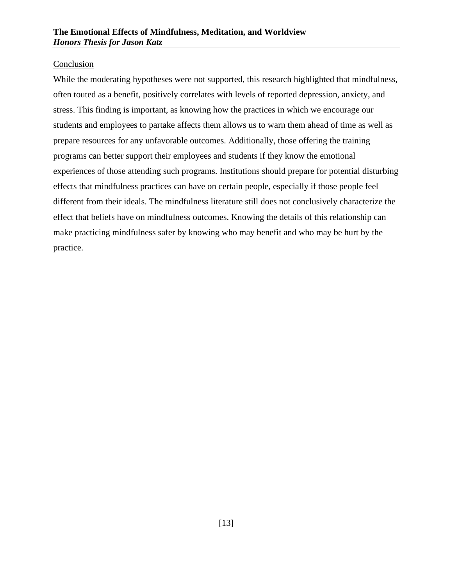#### Conclusion

While the moderating hypotheses were not supported, this research highlighted that mindfulness, often touted as a benefit, positively correlates with levels of reported depression, anxiety, and stress. This finding is important, as knowing how the practices in which we encourage our students and employees to partake affects them allows us to warn them ahead of time as well as prepare resources for any unfavorable outcomes. Additionally, those offering the training programs can better support their employees and students if they know the emotional experiences of those attending such programs. Institutions should prepare for potential disturbing effects that mindfulness practices can have on certain people, especially if those people feel different from their ideals. The mindfulness literature still does not conclusively characterize the effect that beliefs have on mindfulness outcomes. Knowing the details of this relationship can make practicing mindfulness safer by knowing who may benefit and who may be hurt by the practice.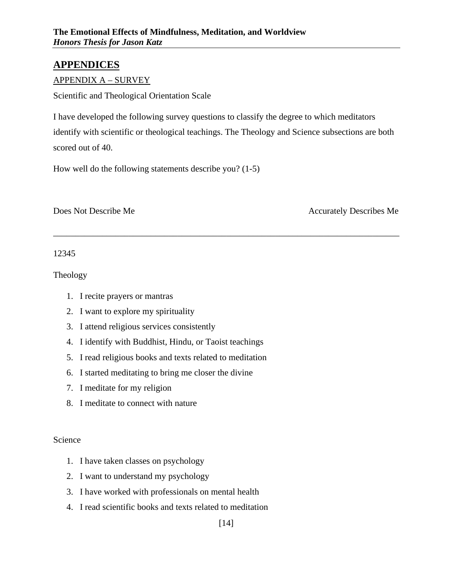# <span id="page-15-0"></span>**APPENDICES**

#### <span id="page-15-1"></span>APPENDIX A – SURVEY

Scientific and Theological Orientation Scale

I have developed the following survey questions to classify the degree to which meditators identify with scientific or theological teachings. The Theology and Science subsections are both scored out of 40.

\_\_\_\_\_\_\_\_\_\_\_\_\_\_\_\_\_\_\_\_\_\_\_\_\_\_\_\_\_\_\_\_\_\_\_\_\_\_\_\_\_\_\_\_\_\_\_\_\_\_\_\_\_\_\_\_\_\_\_\_\_\_\_\_\_\_\_\_\_\_\_\_\_\_\_\_\_\_

How well do the following statements describe you? (1-5)

Does Not Describe Me Accurately Describes Me

12345

Theology

- 1. I recite prayers or mantras
- 2. I want to explore my spirituality
- 3. I attend religious services consistently
- 4. I identify with Buddhist, Hindu, or Taoist teachings
- 5. I read religious books and texts related to meditation
- 6. I started meditating to bring me closer the divine
- 7. I meditate for my religion
- 8. I meditate to connect with nature

#### Science

- 1. I have taken classes on psychology
- 2. I want to understand my psychology
- 3. I have worked with professionals on mental health
- 4. I read scientific books and texts related to meditation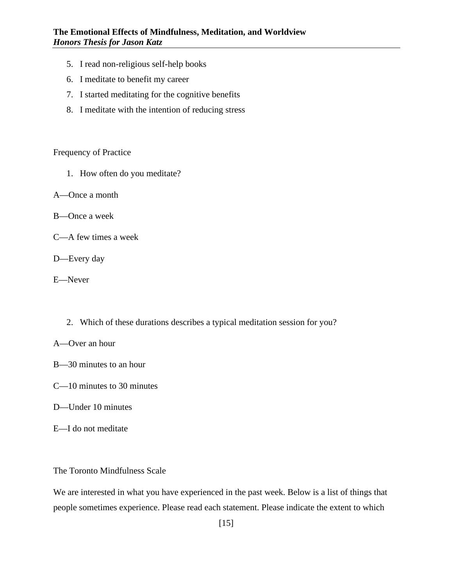- 5. I read non-religious self-help books
- 6. I meditate to benefit my career
- 7. I started meditating for the cognitive benefits
- 8. I meditate with the intention of reducing stress

Frequency of Practice

- 1. How often do you meditate?
- A—Once a month
- B—Once a week
- C—A few times a week
- D—Every day
- E—Never
	- 2. Which of these durations describes a typical meditation session for you?
- A—Over an hour
- B—30 minutes to an hour
- C—10 minutes to 30 minutes
- D—Under 10 minutes
- E—I do not meditate

The Toronto Mindfulness Scale

We are interested in what you have experienced in the past week. Below is a list of things that people sometimes experience. Please read each statement. Please indicate the extent to which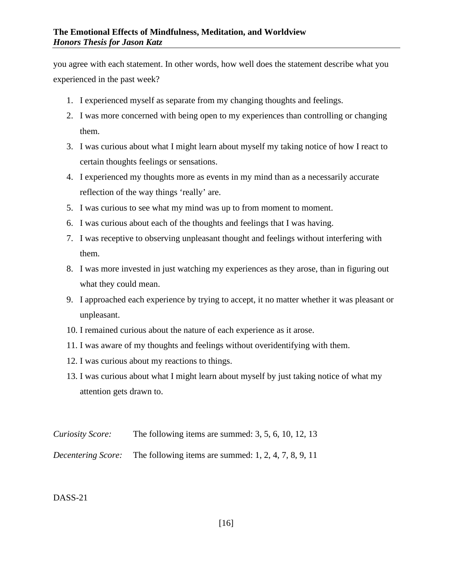you agree with each statement. In other words, how well does the statement describe what you experienced in the past week?

- 1. I experienced myself as separate from my changing thoughts and feelings.
- 2. I was more concerned with being open to my experiences than controlling or changing them.
- 3. I was curious about what I might learn about myself my taking notice of how I react to certain thoughts feelings or sensations.
- 4. I experienced my thoughts more as events in my mind than as a necessarily accurate reflection of the way things 'really' are.
- 5. I was curious to see what my mind was up to from moment to moment.
- 6. I was curious about each of the thoughts and feelings that I was having.
- 7. I was receptive to observing unpleasant thought and feelings without interfering with them.
- 8. I was more invested in just watching my experiences as they arose, than in figuring out what they could mean.
- 9. I approached each experience by trying to accept, it no matter whether it was pleasant or unpleasant.
- 10. I remained curious about the nature of each experience as it arose.
- 11. I was aware of my thoughts and feelings without overidentifying with them.
- 12. I was curious about my reactions to things.
- 13. I was curious about what I might learn about myself by just taking notice of what my attention gets drawn to.
- *Curiosity Score:* The following items are summed: 3, 5, 6, 10, 12, 13

*Decentering Score:* The following items are summed: 1, 2, 4, 7, 8, 9, 11

#### DASS-21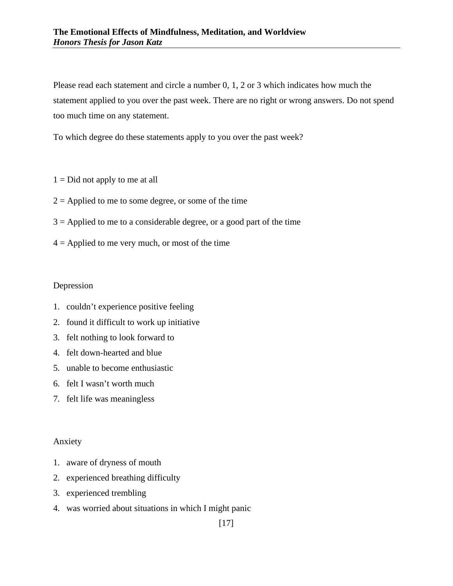Please read each statement and circle a number 0, 1, 2 or 3 which indicates how much the statement applied to you over the past week. There are no right or wrong answers. Do not spend too much time on any statement.

To which degree do these statements apply to you over the past week?

- $1 = Did$  not apply to me at all
- $2 =$  Applied to me to some degree, or some of the time
- $3 =$  Applied to me to a considerable degree, or a good part of the time
- $4 =$  Applied to me very much, or most of the time

#### Depression

- 1. couldn't experience positive feeling
- 2. found it difficult to work up initiative
- 3. felt nothing to look forward to
- 4. felt down-hearted and blue
- 5. unable to become enthusiastic
- 6. felt I wasn't worth much
- 7. felt life was meaningless

#### Anxiety

- 1. aware of dryness of mouth
- 2. experienced breathing difficulty
- 3. experienced trembling
- 4. was worried about situations in which I might panic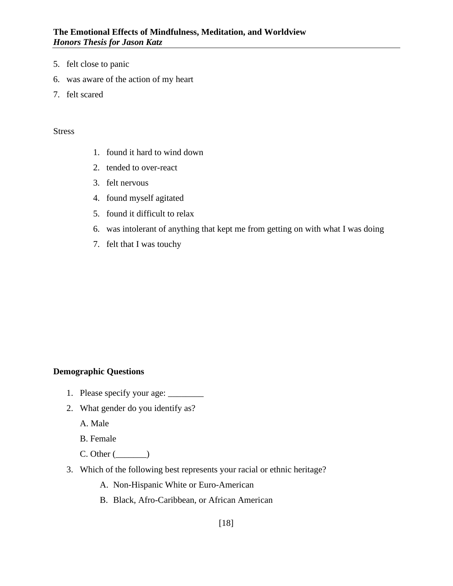- 5. felt close to panic
- 6. was aware of the action of my heart
- 7. felt scared

#### Stress

- 1. found it hard to wind down
- 2. tended to over-react
- 3. felt nervous
- 4. found myself agitated
- 5. found it difficult to relax
- 6. was intolerant of anything that kept me from getting on with what I was doing
- 7. felt that I was touchy

#### **Demographic Questions**

- 1. Please specify your age: \_\_\_\_\_\_\_\_\_\_
- 2. What gender do you identify as?
	- A. Male

B. Female

- $C.$  Other  $(\_\_\_\_\_)$
- 3. Which of the following best represents your racial or ethnic heritage?
	- A. Non-Hispanic White or Euro-American
	- B. Black, Afro-Caribbean, or African American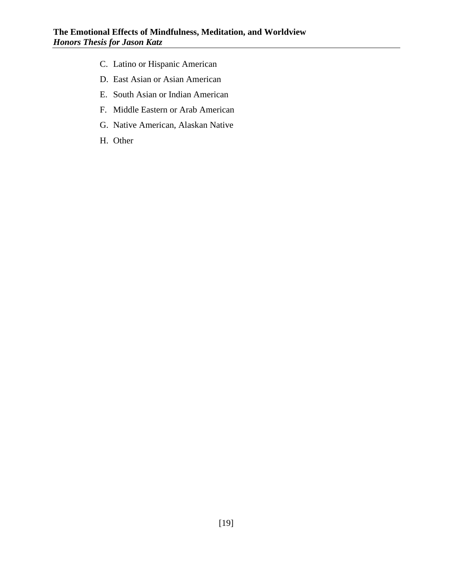- C. Latino or Hispanic American
- D. East Asian or Asian American
- E. South Asian or Indian American
- F. Middle Eastern or Arab American
- G. Native American, Alaskan Native
- H. Other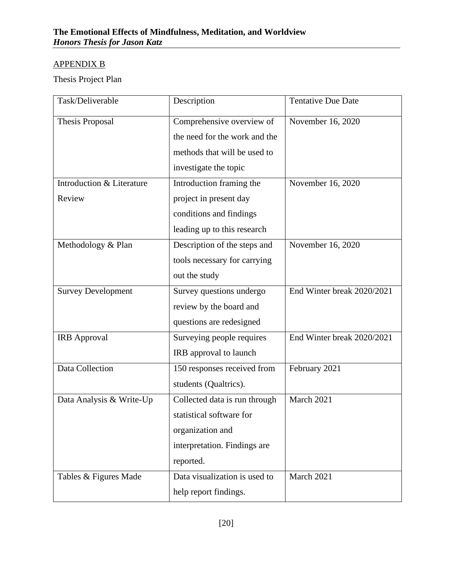# <span id="page-21-0"></span>APPENDIX B

Thesis Project Plan

| Task/Deliverable          | Description                   | <b>Tentative Due Date</b>  |
|---------------------------|-------------------------------|----------------------------|
| Thesis Proposal           | Comprehensive overview of     | November 16, 2020          |
|                           | the need for the work and the |                            |
|                           | methods that will be used to  |                            |
|                           | investigate the topic         |                            |
| Introduction & Literature | Introduction framing the      | November 16, 2020          |
| Review                    | project in present day        |                            |
|                           | conditions and findings       |                            |
|                           | leading up to this research   |                            |
| Methodology & Plan        | Description of the steps and  | November 16, 2020          |
|                           | tools necessary for carrying  |                            |
|                           | out the study                 |                            |
| <b>Survey Development</b> | Survey questions undergo      | End Winter break 2020/2021 |
|                           | review by the board and       |                            |
|                           | questions are redesigned      |                            |
| <b>IRB</b> Approval       | Surveying people requires     | End Winter break 2020/2021 |
|                           | IRB approval to launch        |                            |
| Data Collection           | 150 responses received from   | February 2021              |
|                           | students (Qualtrics).         |                            |
| Data Analysis & Write-Up  | Collected data is run through | March 2021                 |
|                           | statistical software for      |                            |
|                           | organization and              |                            |
|                           | interpretation. Findings are  |                            |
|                           | reported.                     |                            |
| Tables & Figures Made     | Data visualization is used to | March 2021                 |
|                           | help report findings.         |                            |